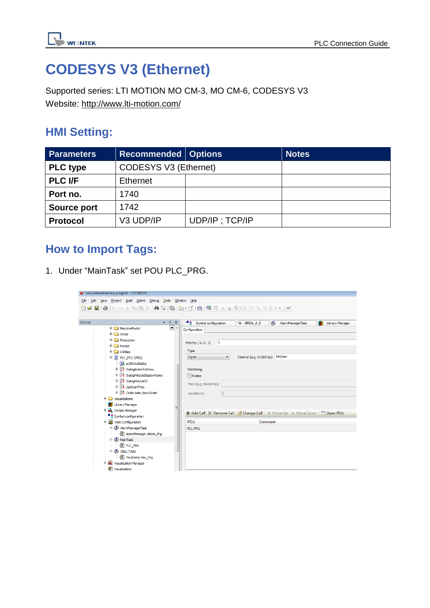

# **CODESYS V3 (Ethernet)**

Supported series: LTI MOTION MO CM-3, MO CM-6, CODESYS V3 Website:<http://www.lti-motion.com/>

### **HMI Setting:**

| <b>Parameters</b>  | <b>Recommended   Options</b> |                | <b>Notes</b> |
|--------------------|------------------------------|----------------|--------------|
| <b>PLC type</b>    | <b>CODESYS V3 (Ethernet)</b> |                |              |
| <b>PLC I/F</b>     | <b>Ethernet</b>              |                |              |
| Port no.           | 1740                         |                |              |
| <b>Source port</b> | 1742                         |                |              |
| <b>Protocol</b>    | V3 UDP/IP                    | UDP/IP; TCP/IP |              |

### **How to Import Tags:**

1. Under "MainTask" set POU PLC\_PRG.

| VisuDemoFactory.project - CODESYS                                                                                                                                                                                                                                                                                                                                                    |                                                                                                                                                                                                                                                                          |  |  |  |  |  |  |
|--------------------------------------------------------------------------------------------------------------------------------------------------------------------------------------------------------------------------------------------------------------------------------------------------------------------------------------------------------------------------------------|--------------------------------------------------------------------------------------------------------------------------------------------------------------------------------------------------------------------------------------------------------------------------|--|--|--|--|--|--|
| View Project Build Online Debug Tools Window Help<br>Edit<br>File                                                                                                                                                                                                                                                                                                                    |                                                                                                                                                                                                                                                                          |  |  |  |  |  |  |
| 6   ● ○○४№18 ×  ぬな  9  10  幽  9, ※ )    1 ×   1 * 1 * 1 *   1 * <br>伯                                                                                                                                                                                                                                                                                                                |                                                                                                                                                                                                                                                                          |  |  |  |  |  |  |
| Devices<br>$- 4 x$                                                                                                                                                                                                                                                                                                                                                                   | $\mathbf{u}_{\text{L}}$ Symbol configuration<br>AlarmManagerTask<br>GPIOS A B<br>m<br><b>Library Manager</b>                                                                                                                                                             |  |  |  |  |  |  |
| −∼<br>MachineModul<br><b>E</b> -Ca Order<br><b>E</b> -C Production<br><b>E</b> Recipe<br><b>E</b> -Ca Utilities<br><b>E-</b> PLC_PRG (PRG)<br>actShowDialog<br>中 日 DialogIndexToShow<br>(h) BalogModuleDisplayName<br>中 B DialogModuleID<br>(h. 用 JobStartTime<br><sup>1</sup> B Orderdate_NextOrder<br><b>E</b> Visualizations<br><b>M</b> Library Manager<br><b>Recipe Manager</b> | Configuration<br>Priority (031): 1<br>Type<br>Cyclic<br>Interval (e.g. t#200ms): t#20ms<br>$\blacktriangledown$<br>Watchdog<br>$\Box$ Enable<br>Time (e.g. t#200ms):<br>1<br>Sensitivity:<br>+ Add Call X Remove Call   Change Call   ↑ Move Up ↓ Move Down   ↑ Open POU |  |  |  |  |  |  |
| Symbol configuration<br><b>E W</b> Task Configuration                                                                                                                                                                                                                                                                                                                                | <b>POU</b><br>Comment                                                                                                                                                                                                                                                    |  |  |  |  |  |  |
| AlarmManagerTask<br>AlarmManager.Alarm_Prg<br><b>D</b> MainTask<br><b>BED</b> PLC PRG<br><b>E-SS VISU TASK</b>                                                                                                                                                                                                                                                                       | PLC PRG                                                                                                                                                                                                                                                                  |  |  |  |  |  |  |
| -B VisuElems. Visu_Prg                                                                                                                                                                                                                                                                                                                                                               |                                                                                                                                                                                                                                                                          |  |  |  |  |  |  |
| Visualization Manager<br>Œ<br><b>a</b> Visualization                                                                                                                                                                                                                                                                                                                                 |                                                                                                                                                                                                                                                                          |  |  |  |  |  |  |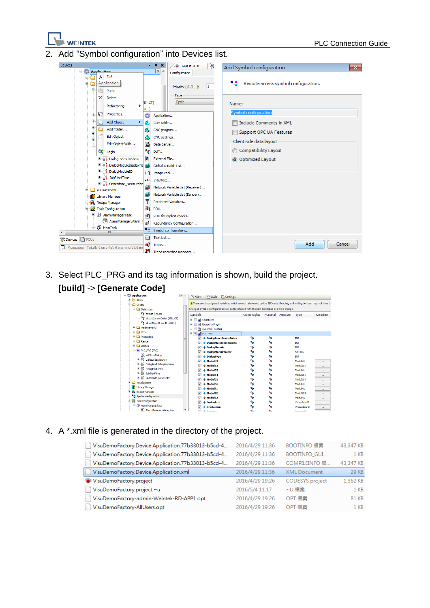

Add "Symbol configuration" into Devices list.



3. Select PLC\_PRG and its tag information is shown, build the project.



#### 4. A \*.xml file is generated in the directory of the project.

| VisuDemoFactory.Device.Application.77b33013-b5cd-4 | 2016/4/29 11:36 | BOOTINFO 檔案            | 43,347 KB       |
|----------------------------------------------------|-----------------|------------------------|-----------------|
| VisuDemoFactory.Device.Application.77b33013-b5cd-4 | 2016/4/29 11:36 | <b>BOOTINFO GUI</b>    | 1 <sub>KB</sub> |
| VisuDemoFactory.Device.Application.77b33013-b5cd-4 | 2016/4/29 11:36 | COMPILEINFO 檔          | 43,347 KB       |
| VisuDemoFactory.Device.Application.xml             | 2016/4/29 11:36 | <b>XML</b> Document    | 29 KB           |
| VisuDemoFactory.project                            | 2016/4/29 19:26 | <b>CODESYS</b> project | 1,362 KB        |
| VisuDemoFactory.project.~u                         | 2016/5/4 11:17  | ~U 檔案                  | 1 <sub>KB</sub> |
| VisuDemoFactory-admin-Weintek-RD-APP1.opt          | 2016/4/29 19:26 | OPT 檔案                 | <b>81 KB</b>    |
| VisuDemoFactory-AllUsers.opt                       | 2016/4/29 19:26 | OPT 檔案                 | 1 <sub>KB</sub> |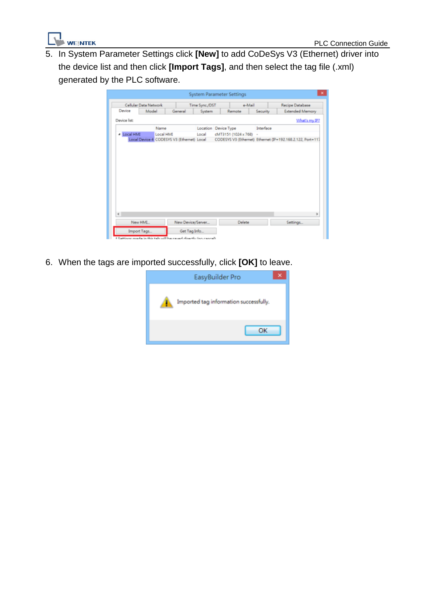

5. In System Parameter Settings click **[New]** to add CoDeSys V3 (Ethernet) driver into the device list and then click **[Import Tags]**, and then select the tag file (.xml) generated by the PLC software.

|                        |       |           |                                            | <b>System Parameter Settings</b> |  |                      |                 |                                                            |
|------------------------|-------|-----------|--------------------------------------------|----------------------------------|--|----------------------|-----------------|------------------------------------------------------------|
| Cellular Data Network  |       |           |                                            | a-Mail<br>Time Sync./DST         |  |                      | Recipe Database |                                                            |
| Device                 | Model |           | General                                    | <b>System</b>                    |  | Remote               | Security        | <b>Extended Memory</b>                                     |
| Device list:           |       |           |                                            |                                  |  |                      |                 | What's my IP?                                              |
|                        |       | Name      |                                            | Location Device Type             |  |                      | Interface       |                                                            |
| - Local HMI            |       | Local HMI |                                            | Local                            |  | cMT3151 (1024 x 768) | ٠               |                                                            |
|                        |       |           | Local Device 4 CODESYS V3 (Ethernet) Local |                                  |  |                      |                 | CODESYS V3 (Ethernet) Ethernet (IP=192.168.2.122, Port=117 |
|                        |       |           |                                            |                                  |  |                      |                 |                                                            |
|                        |       |           |                                            |                                  |  |                      |                 |                                                            |
|                        |       |           |                                            |                                  |  |                      |                 | $\mathcal{P}$                                              |
| $\epsilon$<br>New HML. |       |           | New Device/Server                          |                                  |  | Delete               |                 | Settings                                                   |

6. When the tags are imported successfully, click **[OK]** to leave.